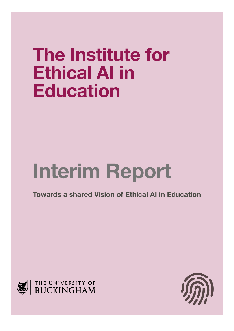# **The Institute for Ethical AI in Education**

# **Interim Report**

**Towards a shared Vision of Ethical AI in Education**



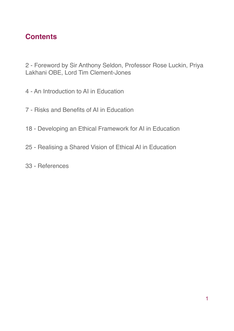## **Contents**

2 - Foreword by Sir Anthony Seldon, Professor Rose Luckin, Priya Lakhani OBE, Lord Tim Clement-Jones

- 4 An Introduction to AI in Education
- 7 Risks and Benefits of AI in Education
- 18 Developing an Ethical Framework for AI in Education
- 25 Realising a Shared Vision of Ethical AI in Education
- 33 References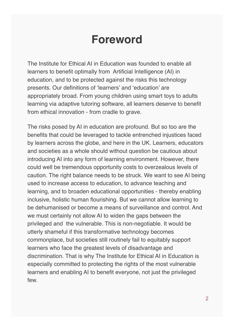## **Foreword**

The Institute for Ethical AI in Education was founded to enable all learners to benefit optimally from Artificial Intelligence (AI) in education, and to be protected against the risks this technology presents. Our definitions of 'learners' and 'education' are appropriately broad. From young children using smart toys to adults learning via adaptive tutoring software, all learners deserve to benefit from ethical innovation - from cradle to grave.

The risks posed by AI in education are profound. But so too are the benefits that could be leveraged to tackle entrenched injustices faced by learners across the globe, and here in the UK. Learners, educators and societies as a whole should without question be cautious about introducing AI into any form of learning environment. However, there could well be tremendous opportunity costs to overzealous levels of caution. The right balance needs to be struck. We want to see AI being used to increase access to education, to advance teaching and learning, and to broaden educational opportunities - thereby enabling inclusive, holistic human flourishing. But we cannot allow learning to be dehumanised or become a means of surveillance and control. And we must certainly not allow AI to widen the gaps between the privileged and the vulnerable. This is non-negotiable. It would be utterly shameful if this transformative technology becomes commonplace, but societies still routinely fail to equitably support learners who face the greatest levels of disadvantage and discrimination. That is why The Institute for Ethical AI in Education is especially committed to protecting the rights of the most vulnerable learners and enabling AI to benefit everyone, not just the privileged few.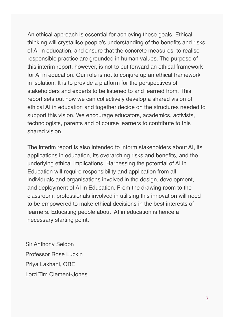An ethical approach is essential for achieving these goals. Ethical thinking will crystallise people's understanding of the benefits and risks of AI in education, and ensure that the concrete measures to realise responsible practice are grounded in human values. The purpose of this interim report, however, is not to put forward an ethical framework for AI in education. Our role is not to conjure up an ethical framework in isolation. It is to provide a platform for the perspectives of stakeholders and experts to be listened to and learned from. This report sets out how we can collectively develop a shared vision of ethical AI in education and together decide on the structures needed to support this vision. We encourage educators, academics, activists, technologists, parents and of course learners to contribute to this shared vision.

The interim report is also intended to inform stakeholders about AI, its applications in education, its overarching risks and benefits, and the underlying ethical implications. Harnessing the potential of AI in Education will require responsibility and application from all individuals and organisations involved in the design, development, and deployment of AI in Education. From the drawing room to the classroom, professionals involved in utilising this innovation will need to be empowered to make ethical decisions in the best interests of learners. Educating people about AI in education is hence a necessary starting point.

Sir Anthony Seldon Professor Rose Luckin Priya Lakhani, OBE Lord Tim Clement-Jones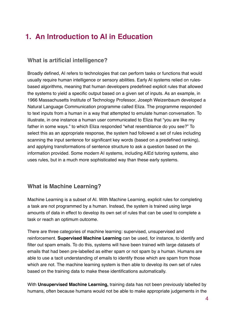## **1. An Introduction to AI in Education**

## **What is artificial intelligence?**

Broadly defined, AI refers to technologies that can perform tasks or functions that would usually require human intelligence or sensory abilities. Early AI systems relied on rulesbased algorithms, meaning that human developers predefined explicit rules that allowed the systems to yield a specific output based on a given set of inputs. As an example, in 1966 Massachusetts Institute of Technology Professor, Joseph Weizenbaum developed a Natural Language Communication programme called Eliza. The programme responded to text inputs from a human in a way that attempted to emulate human conversation. To illustrate, in one instance a human user communicated to Eliza that "you are like my father in some ways." to which Eliza responded "what resemblance do you see?" To select this as an appropriate response, the system had followed a set of rules including scanning the input sentence for significant key words (based on a predefined ranking), and applying transformations of sentence structure to ask a question based on the information provided. Some modern AI systems, including AIEd tutoring systems, also uses rules, but in a much more sophisticated way than these early systems.

## **What is Machine Learning?**

Machine Learning is a subset of AI. With Machine Learning, explicit rules for completing a task are not programmed by a human. Instead, the system is trained using large amounts of data in effect to develop its own set of rules that can be used to complete a task or reach an optimum outcome.

There are three categories of machine learning: supervised, unsupervised and reinforcement. **Supervised Machine Learning** can be used, for instance, to identify and filter out spam emails. To do this, systems will have been trained with large datasets of emails that had been pre-labelled as either spam or not spam by a human. Humans are able to use a tacit understanding of emails to identify those which are spam from those which are not. The machine learning system is then able to develop its own set of rules based on the training data to make these identifications automatically.

With **Unsupervised Machine Learning,** training data has not been previously labelled by humans, often because humans would not be able to make appropriate judgements in the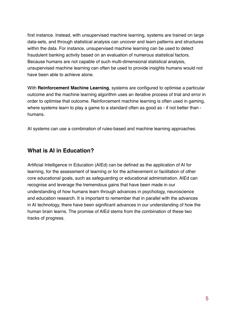first instance. Instead, with unsupervised machine learning, systems are trained on large data-sets, and through statistical analysis can uncover and learn patterns and structures within the data. For instance, unsupervised machine learning can be used to detect fraudulent banking activity based on an evaluation of numerous statistical factors. Because humans are not capable of such multi-dimensional statistical analysis, unsupervised machine learning can often be used to provide insights humans would not have been able to achieve alone.

With **Reinforcement Machine Learning**, systems are configured to optimise a particular outcome and the machine learning algorithm uses an iterative process of trial and error in order to optimise that outcome. Reinforcement machine learning is often used in gaming, where systems learn to play a game to a standard often as good as - if not better than humans.

AI systems can use a combination of rules-based and machine learning approaches.

## **What is AI in Education?**

Artificial Intelligence in Education (AIEd) can be defined as the application of AI for learning, for the assessment of learning or for the achievement or facilitation of other core educational goals, such as safeguarding or educational administration. AIEd can recognise and leverage the tremendous gains that have been made in our understanding of how humans learn through advances in psychology, neuroscience and education research. It is important to remember that in parallel with the advances in AI technology, there have been significant advances in our understanding of how the human brain learns. The promise of AIEd stems from the combination of these two tracks of progress.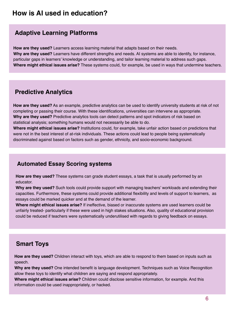## **How is AI used in education?**

## **Adaptive Learning Platforms**

**How are they used?** Learners access learning material that adapts based on their needs. **Why are they used?** Learners have different strengths and needs. AI systems are able to identify, for instance, particular gaps in learners' knowledge or understanding, and tailor learning material to address such gaps. **Where might ethical issues arise?** These systems could, for example, be used in ways that undermine teachers.

## **Predictive Analytics**

**How are they used?** As an example, predictive analytics can be used to identify university students at risk of not completing or passing their course. With these identifications, universities can intervene as appropriate. **Why are they used?** Predictive analytics tools can detect patterns and spot indicators of risk based on statistical analysis; something humans would not necessarily be able to do.

**Where might ethical issues arise?** Institutions could, for example, take unfair action based on predictions that were not in the best interest of at-risk individuals. These actions could lead to people being systematically discriminated against based on factors such as gender, ethnicity, and socio-economic background.

## **Automated Essay Scoring systems**

**How are they used?** These systems can grade student essays, a task that is usually performed by an educator.

**Why are they used?** Such tools could provide support with managing teachers' workloads and extending their capacities. Furthermore, these systems could provide additional flexibility and levels of support to learners, as essays could be marked quicker and at the demand of the learner.

**Where might ethical issues arise?** If ineffective, biased or inaccurate systems are used learners could be unfairly treated- particularly if these were used in high stakes situations. Also, quality of educational provision could be reduced if teachers were systematically underutilised with regards to giving feedback on essays.

## **Smart Toys**

**How are they used?** Children interact with toys, which are able to respond to them based on inputs such as speech.

**Why are they used?** One intended benefit is language development. Techniques such as Voice Recognition allow these toys to identify what children are saying and respond appropriately.

**Where might ethical issues arise?** Children could disclose sensitive information, for example. And this information could be used inappropriately, or hacked.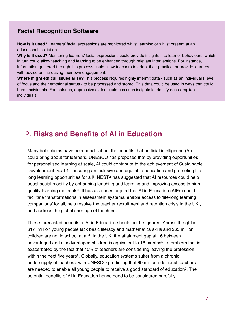## **Facial Recognition Software**

**How is it used?** Learners' facial expressions are monitored whilst learning or whilst present at an educational institution.

**Why is it used?** Monitoring learners' facial expressions could provide insights into learner behaviours, which in turn could allow teaching and learning to be enhanced through relevant interventions. For instance, information gathered through this process could allow teachers to adapt their practice, or provide learners with advice on increasing their own engagement.

**Where might ethical issues arise?** This process requires highly intermit data - such as an individual's level of focus and their emotional status - to be processed and stored. This data could be used in ways that could harm individuals. For instance, oppressive states could use such insights to identify non-compliant individuals.

## 2. **Risks and Benefits of AI in Education**

Many bold claims have been made about the benefits that artificial intelligence (AI) could bring about for learners. UNESCO has proposed that by providing opportunities for personalised learning at scale, AI could contribute to the achievement of Sustainable Development Goal 4 - ensuring an inclusive and equitable education and promoting lifelong learning opportunities for all<sup>1</sup>. NESTA has suggested that AI resources could help boost social mobility by enhancing teaching and learning and improving access to high quality learning materials2. It has also been argued that AI in Education (AIEd) could facilitate transformations in assessment systems, enable access to 'life-long learning companions' for all, help resolve the teacher recruitment and retention crisis in the UK , and address the global shortage of teachers.3

These forecasted benefits of AI in Education should not be ignored. Across the globe 617 million young people lack basic literacy and mathematics skills and 265 million children are not in school at all<sup>4</sup>. In the UK, the attainment gap at 16 between advantaged and disadvantaged children is equivalent to 18 months $5$  - a problem that is exacerbated by the fact that 40% of teachers are considering leaving the profession within the next five years<sup>6</sup>. Globally, education systems suffer from a chronic undersupply of teachers, with UNESCO predicting that 69 million additional teachers are needed to enable all young people to receive a good standard of education7. The potential benefits of AI in Education hence need to be considered carefully.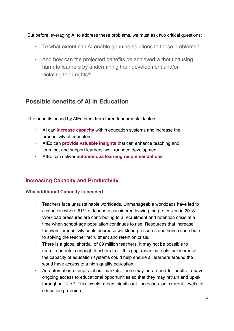But before leveraging AI to address these problems, we must ask two critical questions:

- To what extent can AI enable genuine solutions to these problems?
- And how can the projected benefits be achieved without causing harm to learners by undermining their development and/or violating their rights?

## **Possible benefits of AI in Education**

The benefits posed by AIEd stem from three fundamental factors.

- AI can **increase capacity** within education systems and increase the productivity of educators
- AIEd can **provide valuable insights** that can enhance teaching and learning, and support learners' well-rounded development
- AIEd can deliver **autonomous learning recommendations**

## **Increasing Capacity and Productivity**

**Why additional Capacity is needed** 

- Teachers face unsustainable workloads. Unmanageable workloads have led to a situation where 81% of teachers considered leaving the profession in 20188. Workload pressures are contributing to a recruitment and retention crisis at a time when school-age population continues to rise. Resources that increase teachers' productivity could decrease workload pressures and hence contribute to solving the teacher recruitment and retention crisis.
- There is a global shortfall of 69 million teachers. It may not be possible to recruit and retain enough teachers to fill this gap, meaning tools that increase the capacity of education systems could help ensure all learners around the world have access to a high-quality education.
- As automation disrupts labour markets, there may be a need for adults to have ongoing access to educational opportunities so that they may retrain and up-skill throughout life.9 This would mean significant increases on current levels of education provision.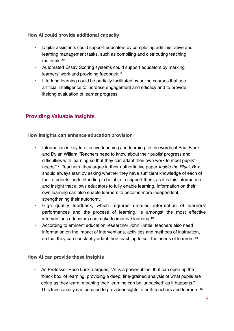**How AI could provide additional capacity**

- Digital assistants could support educators by completing administrative and learning management tasks, such as compiling and distributing teaching materials.10
- Automated Essay Scoring systems could support educators by marking learners' work and providing feedback.11
- Life-long learning could be partially facilitated by online courses that use artificial intelligence to increase engagement and efficacy and to provide lifelong evaluation of learner progress.

## **Providing Valuable Insights**

**How insights can enhance education provision**

- Information is key to effective teaching and learning. In the words of Paul Black and Dylan Wiliam "Teachers need to know about their pupilsʹ progress and difficulties with learning so that they can adapt their own work to meet pupilsʹ needs"12. Teachers, they argue in their authoritative paper *Inside the Black Box*, should always start by asking whether they have sufficient knowledge of each of their students' understanding to be able to support them, as it is this information and insight that allows educators to fully enable learning. Information on their own learning can also enable learners to become more independent, strengthening their autonomy.
- High quality feedback, which requires detailed information of learners' performances and the process of learning, is amongst the most effective interventions educators can make to improve learning.13
- According to eminent education researcher John Hattie, teachers also need information on the impact of interventions, activities and methods of instruction, so that they can constantly adapt their teaching to suit the needs of learners.<sup>14</sup>

**How AI can provide these insights**

**-** As Professor Rose Luckin argues, "AI is a powerful tool that can open up the 'black box' of learning, providing a deep, fine-grained analysis of what pupils are doing as they learn, meaning their learning can be 'unpacked' as it happens." This functionality can be used to provide insights to both teachers and learners.15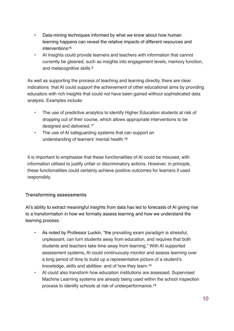- Data-mining techniques informed by what we know about how human learning happens can reveal the relative impacts of different resources and interventions<sup>16</sup>
- AI Insights could provide learners and teachers with information that cannot currently be gleaned, such as insights into engagement levels, memory function, and metacognitive skills.<sup>3</sup>

As well as supporting the process of teaching and learning directly, there are clear indications that AI could support the achievement of other educational aims by providing educators with rich insights that could not have been gained without sophisticated data analysis. Examples include:

- The use of predictive analytics to identify Higher Education students at risk of dropping out of their course, which allows appropriate interventions to be designed and delivered.17
- The use of AI safeguarding systems that can support an understanding of learners' mental health.18

It is important to emphasise that these functionalities of AI could be misused, with information utilised to justify unfair or discriminatory actions. However, in principle, these functionalities could certainly achieve positive outcomes for learners if used responsibly.

## **Transforming assessments**

AI's ability to extract meaningful insights from data has led to forecasts of AI giving rise to a transformation in how we formally assess learning and how we understand the learning process.

- As noted by Professor Luckin, "the prevailing exam paradigm is stressful, unpleasant, can turn students away from education, and requires that both students and teachers take time away from learning." With AI supported assessment systems, AI could continuously monitor and assess learning over a long period of time to build up a representative picture of a student's knowledge, skills and abilities- and of how they learn.15
- AI could also transform how education institutions are assessed. Supervised Machine Learning systems are already being used within the school inspection process to identify schools at risk of underperformance.19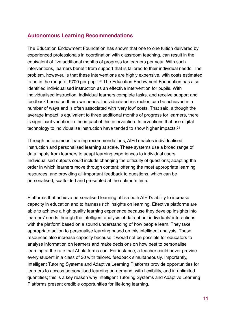## **Autonomous Learning Recommendations**

The Education Endowment Foundation has shown that one to one tuition delivered by experienced professionals in coordination with classroom teaching, can result in the equivalent of five additional months of progress for learners per year. With such interventions, learners benefit from support that is tailored to their individual needs. The problem, however, is that these interventions are highly expensive, with costs estimated to be in the range of £700 per pupil.20 The Education Endowment Foundation has also identified individualised instruction as an effective intervention for pupils. With individualised instruction, individual learners complete tasks, and receive support and feedback based on their own needs. Individualised instruction can be achieved in a number of ways and is often associated with 'very low' costs. That said, although the average impact is equivalent to three additional months of progress for learners, there is significant variation in the impact of this intervention. Interventions that use digital technology to individualise instruction have tended to show higher impacts.21

Through autonomous learning recommendations, AIEd enables individualised instruction and personalised learning at scale. These systems use a broad range of data inputs from learners to adapt learning experiences to individual users. Individualised outputs could include changing the difficulty of questions; adapting the order in which learners move through content; offering the most appropriate learning resources; and providing all-important feedback to questions, which can be personalised, scaffolded and presented at the optimum time.

Platforms that achieve personalised learning utilise both AIEd's ability to increase capacity in education and to harness rich insights on learning. Effective platforms are able to achieve a high quality learning experience because they develop insights into learners' needs through the intelligent analysis of data about individuals' interactions with the platform based on a sound understanding of how people learn. They take appropriate action to personalise learning based on this intelligent analysis. These resources also increase capacity because it would not be possible for educators to analyse information on learners and make decisions on how best to personalise learning at the rate that AI platforms can. For instance, a teacher could never provide every student in a class of 30 with tailored feedback simultaneously. Importantly, Intelligent Tutoring Systems and Adaptive Learning Platforms provide opportunities for learners to access personalised learning on-demand, with flexibility, and in unlimited quantities; this is a key reason why Intelligent Tutoring Systems and Adaptive Learning Platforms present credible opportunities for life-long learning.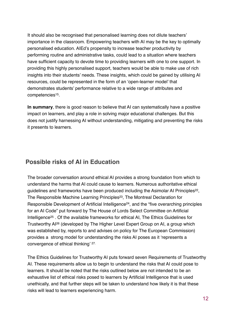It should also be recognised that personalised learning does not dilute teachers' importance in the classroom. Empowering teachers with AI may be the key to optimally personalised education. AIEd's propensity to increase teacher productivity by performing routine and administrative tasks, could lead to a situation where teachers have sufficient capacity to devote time to providing learners with one to one support. In providing this highly personalised support, teachers would be able to make use of rich insights into their students' needs. These insights, which could be gained by utilising AI resources, could be represented in the form of an 'open-learner model' that demonstrates students' performance relative to a wide range of attributes and competencies15.

**In summary**, there is good reason to believe that AI can systematically have a positive impact on learners, and play a role in solving major educational challenges. But this does not justify harnessing AI without understanding, mitigating and preventing the risks it presents to learners.

## **Possible risks of AI in Education**

The broader conversation around ethical AI provides a strong foundation from which to understand the harms that AI could cause to learners. Numerous authoritative ethical guidelines and frameworks have been produced including the Asimolar AI Principles<sup>22</sup>, The Responsible Machine Learning Principles<sup>23</sup>, The Montreal Declaration for Responsible Development of Artificial Intelligence<sup>24</sup>, and the "five overarching principles for an AI Code" put forward by The House of Lords Select Committee on Artificial Intelligence25 . Of the available frameworks for ethical AI, The Ethics Guidelines for Trustworthy AI26 (developed by The Higher Level Expert Group on AI, a group which was established by, reports to and advises on policy for The European Commission) provides a strong model for understanding the risks AI poses as it 'represents a convergence of ethical thinking' 27.

The Ethics Guidelines for Trustworthy AI puts forward seven Requirements of Trustworthy AI. These requirements allow us to begin to understand the risks that AI could pose to learners. It should be noted that the risks outlined below are not intended to be an exhaustive list of ethical risks posed to learners by Artificial Intelligence that is used unethically, and that further steps will be taken to understand how likely it is that these risks will lead to learners experiencing harm.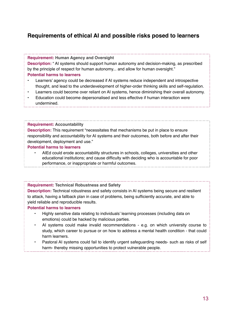## **Requirements of ethical AI and possible risks posed to learners**

#### **Requirement: Human Agency and Oversight**

**Description:** " AI systems should support human autonomy and decision-making, as prescribed by the principle of respect for human autonomy... and allow for human oversight."

#### **Potential harms to learners**

- Learners' agency could be decreased if AI systems reduce independent and introspective thought, and lead to the underdevelopment of higher-order thinking skills and self-regulation.
- Learners could become over reliant on AI systems, hence diminishing their overall autonomy.
- Education could become depersonalised and less effective if human interaction were undermined.

#### **Requirement: Accountability**

**Description:** This requirement "necessitates that mechanisms be put in place to ensure responsibility and accountability for AI systems and their outcomes, both before and after their development, deployment and use."

#### **Potential harms to learners**

• AIEd could erode accountability structures in schools, colleges, universities and other educational institutions; and cause difficulty with deciding who is accountable for poor performance, or inappropriate or harmful outcomes.

#### **Requirement: Technical Robustness and Safety**

**Description:** Technical robustness and safety consists in AI systems being secure and resilient to attack, having a fallback plan in case of problems, being sufficiently accurate, and able to yield reliable and reproducible results.

#### **Potential harms to learners**

- Highly sensitive data relating to individuals' learning processes (including data on emotions) could be hacked by malicious parties.
- AI systems could make invalid recommendations e.g. on which university course to study, which career to pursue or on how to address a mental health condition - that could harm learners.
- Pastoral AI systems could fail to identify urgent safeguarding needs- such as risks of self harm- thereby missing opportunities to protect vulnerable people.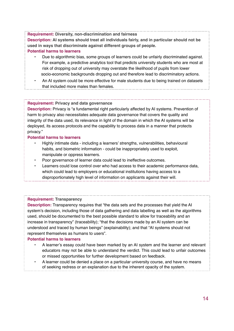**Requirement: Diversity, non-discrimination and fairness Description: AI systems should treat all individuals fairly, and in particular should not be used in ways that discriminate against different groups of people. Potential harms to learners**

- Due to algorithmic bias, some groups of learners could be unfairly discriminated against. For example, a predictive analytics tool that predicts university students who are most at risk of dropping out of university may overstate the likelihood of pupils from lower socio-economic backgrounds dropping out and therefore lead to discriminatory actions.
- An AI system could be more effective for male students due to being trained on datasets that included more males than females.

#### **Requirement: Privacy and data governance**

**Description:** Privacy is "a fundamental right particularly affected by AI systems. Prevention of harm to privacy also necessitates adequate data governance that covers the quality and integrity of the data used, its relevance in light of the domain in which the AI systems will be deployed, its access protocols and the capability to process data in a manner that protects privacy."

#### **Potential harms to learners**

- Highly intimate data including a learners' strengths, vulnerabilities, behavioural habits, and biometric information - could be inappropriately used to exploit, manipulate or oppress learners.
- Poor governance of learner data could lead to ineffective outcomes.
- Learners could lose control over who had access to their academic performance data, which could lead to employers or educational institutions having access to a disproportionately high level of information on applicants against their will.

#### **Requirement: Transparency**

**Description:** Transparency requires that "the data sets and the processes that yield the AI system's decision, including those of data gathering and data labelling as well as the algorithms used, should be documented to the best possible standard to allow for traceability and an increase in transparency" (traceability); "that the decisions made by an AI system can be understood and traced by human beings" (explainability); and that "AI systems should not represent themselves as humans to users".

#### **Potential harms to learners**

- A learner's essay could have been marked by an AI system and the learner and relevant educators may not be able to understand the verdict. This could lead to unfair outcomes or missed opportunities for further development based on feedback.
- A learner could be denied a place on a particular university course, and have no means of seeking redress or an explanation due to the inherent opacity of the system.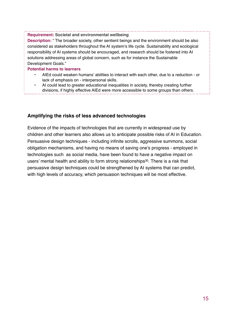**Requirement: Societal and environmental wellbeing**

**Description:** " The broader society, other sentient beings and the environment should be also considered as stakeholders throughout the AI system's life cycle. Sustainability and ecological responsibility of AI systems should be encouraged, and research should be fostered into AI solutions addressing areas of global concern, such as for instance the Sustainable Development Goals."

#### **Potential harms to learners**

- AIEd could weaken humans' abilities to interact with each other, due to a reduction or lack of emphasis on - interpersonal skills.
- AI could lead to greater educational inequalities in society, thereby creating further divisions, if highly effective AIEd were more accessible to some groups than others.

#### **Amplifying the risks of less advanced technologies**

Evidence of the impacts of technologies that are currently in widespread use by children and other learners also allows us to anticipate possible risks of AI in Education. Persuasive design techniques - including infinite scrolls, aggressive summons, social obligation mechanisms, and having no means of saving one's progress - employed in technologies such as social media, have been found to have a negative impact on users' mental health and ability to form strong relationships<sup>30</sup>. There is a risk that persuasive design techniques could be strengthened by AI systems that can predict, with high levels of accuracy, which persuasion techniques will be most effective.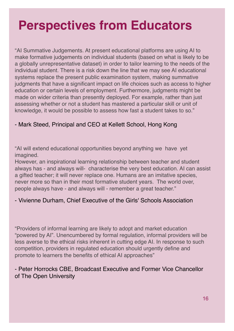## **Perspectives from Educators**

"AI Summative Judgements. At present educational platforms are using AI to make formative judgements on individual students (based on what is likely to be a globally unrepresentative dataset) in order to tailor learning to the needs of the individual student. There is a risk down the line that we may see AI educational systems replace the present public examination system, making summative judgments that have a significant impact on life choices such as access to higher education or certain levels of employment. Furthermore, judgments might be made on wider criteria than presently deployed. For example, rather than just assessing whether or not a student has mastered a particular skill or unit of knowledge, it would be possible to assess how fast a student takes to so."

## - Mark Steed, Principal and CEO at Kellett School, Hong Kong

"AI will extend educational opportunities beyond anything we have yet imagined.

However, an inspirational learning relationship between teacher and student always has - and always will- characterise the very best education. AI can assist a gifted teacher; it will never replace one. Humans are an imitative species, never more so than in their most formative student years. The world over, people always have - and always will - remember a great teacher."

## - Vivienne Durham, Chief Executive of the Girls' Schools Association

"Providers of informal learning are likely to adopt and market education "powered by AI". Unencumbered by formal regulation, informal providers will be less averse to the ethical risks inherent in cutting edge AI. In response to such competition, providers in regulated education should urgently define and promote to learners the benefits of ethical AI approaches"

## - Peter Horrocks CBE, Broadcast Executive and Former Vice Chancellor of The Open University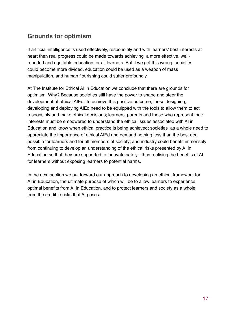## **Grounds for optimism**

If artificial intelligence is used effectively, responsibly and with learners' best interests at heart then real progress could be made towards achieving a more effective, wellrounded and equitable education for all learners. But if we get this wrong, societies could become more divided, education could be used as a weapon of mass manipulation, and human flourishing could suffer profoundly.

At The Institute for Ethical AI in Education we conclude that there are grounds for optimism. Why? Because societies still have the power to shape and steer the development of ethical AIEd. To achieve this positive outcome, those designing, developing and deploying AIEd need to be equipped with the tools to allow them to act responsibly and make ethical decisions; learners, parents and those who represent their interests must be empowered to understand the ethical issues associated with AI in Education and know when ethical practice is being achieved; societies as a whole need to appreciate the importance of ethical AIEd and demand nothing less than the best deal possible for learners and for all members of society; and industry could benefit immensely from continuing to develop an understanding of the ethical risks presented by AI in Education so that they are supported to innovate safely - thus realising the benefits of AI for learners without exposing learners to potential harms.

In the next section we put forward our approach to developing an ethical framework for AI in Education, the ultimate purpose of which will be to allow learners to experience optimal benefits from AI in Education, and to protect learners and society as a whole from the credible risks that AI poses.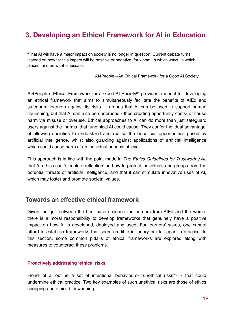## **3. Developing an Ethical Framework for AI in Education**

"That AI will have a major impact on society is no longer in question. Current debate turns instead on how far this impact will be positive or negative, for whom, in which ways, in which places, and on what timescale."

AI4People—An Ethical Framework for a Good AI Society

AI4People's Ethical Framework for a Good AI Society31 provides a model for developing an ethical framework that aims to simultaneously facilitate the benefits of AIEd and safeguard learners against its risks. It argues that AI can be used to support human flourishing, but that AI can also be underused - thus creating opportunity costs- or cause harm via misuse or overuse. Ethical approaches to AI can do more than just safeguard users against the harms that unethical AI could cause. They confer the 'dual advantage' of allowing societies to understand and realise the beneficial opportunities posed by artificial intelligence, whilst also guarding against applications of artificial intelligence which could cause harm at an individual or societal level.

This approach is in line with the point made in *The Ethics Guidelines for Trustworthy AI*, that AI ethics can 'stimulate reflection' on how to protect individuals and groups from the potential threats of artificial intelligence, and that it can stimulate innovative uses of AI, which may foster and promote societal values.

## **Towards an effective ethical framework**

Given the gulf between the best case scenario for learners from AIEd and the worse, there is a moral responsibility to develop frameworks that genuinely have a positive impact on how AI is developed, deployed and used. For learners' sakes, one cannot afford to establish frameworks that seem credible in theory but fall apart in practice. In this section, some common pitfalls of ethical frameworks are explored along with measures to counteract these problems.

#### **Proactively addressing 'ethical risks'**

Floridi et al outline a set of intentional behaviours- "unethical risks"<sup>32</sup> - that could undermine ethical practice. Two key examples of such unethical risks are those of ethics shopping and ethics bluewashing.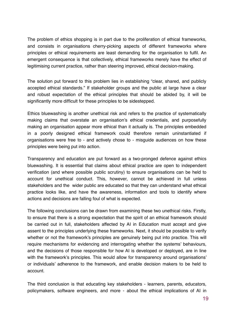The problem of ethics shopping is in part due to the proliferation of ethical frameworks, and consists in organisations cherry-picking aspects of different frameworks where principles or ethical requirements are least demanding for the organisation to fulfil. An emergent consequence is that collectively, ethical frameworks merely have the effect of legitimising current practice, rather than steering improved, ethical decision-making.

The solution put forward to this problem lies in establishing "clear, shared, and publicly accepted ethical standards." If stakeholder groups and the public at large have a clear and robust expectation of the ethical principles that should be abided by, it will be significantly more difficult for these principles to be sidestepped.

Ethics bluewashing is another unethical risk and refers to the practice of systematically making claims that overstate an organisation's ethical credentials, and purposefully making an organisation appear more ethical than it actually is. The principles embedded in a poorly designed ethical framework could therefore remain uninstantiated if organisations were free to - and actively chose to - misguide audiences on how these principles were being put into action.

Transparency and education are put forward as a two-pronged defence against ethics bluewashing. It is essential that claims about ethical practice are open to independent verification (and where possible public scrutiny) to ensure organisations can be held to account for unethical conduct. This, however, cannot be achieved in full unless stakeholders and the wider public are educated so that they can understand what ethical practice looks like, and have the awareness, information and tools to identify where actions and decisions are falling foul of what is expected.

The following conclusions can be drawn from examining these two unethical risks. Firstly, to ensure that there is a strong expectation that the spirit of an ethical framework should be carried out in full, stakeholders affected by AI in Education must accept and give assent to the principles underlying these frameworks. Next, it should be possible to verify whether or not the framework's principles are genuinely being put into practice. This will require mechanisms for evidencing and interrogating whether the systems' behaviours, and the decisions of those responsible for how AI is developed or deployed, are in line with the framework's principles. This would allow for transparency around organisations' or individuals' adherence to the framework, and enable decision makers to be held to account.

The third conclusion is that educating key stakeholders - learners, parents, educators, policymakers, software engineers, and more - about the ethical implications of AI in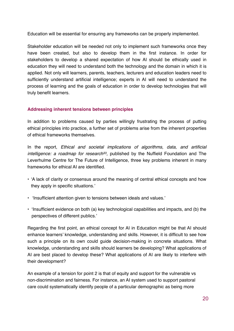Education will be essential for ensuring any frameworks can be properly implemented.

Stakeholder education will be needed not only to implement such frameworks once they have been created, but also to develop them in the first instance. In order for stakeholders to develop a shared expectation of how AI should be ethically used in education they will need to understand both the technology and the domain in which it is applied. Not only will learners, parents, teachers, lecturers and education leaders need to sufficiently understand artificial intelligence; experts in AI will need to understand the process of learning and the goals of education in order to develop technologies that will truly benefit learners.

#### **Addressing inherent tensions between principles**

In addition to problems caused by parties willingly frustrating the process of putting ethical principles into practice, a further set of problems arise from the inherent properties of ethical frameworks themselves.

In the report, *Ethical and societal implications of algorithms, data, and artificial intelligence: a roadmap for research33,* published by the Nuffield Foundation and The Leverhulme Centre for The Future of Intelligence, three key problems inherent in many frameworks for ethical AI are identified.

- 'A lack of clarity or consensus around the meaning of central ethical concepts and how they apply in specific situations.'
- 'Insufficient attention given to tensions between ideals and values.'
- 'Insufficient evidence on both (a) key technological capabilities and impacts, and (b) the perspectives of different publics.'

Regarding the first point, an ethical concept for AI in Education might be that AI should enhance learners' knowledge, understanding and skills. However, it is difficult to see how such a principle on its own could guide decision-making in concrete situations. What knowledge, understanding and skills should learners be developing? What applications of AI are best placed to develop these? What applications of AI are likely to interfere with their development?

An example of a tension for point 2 is that of equity and support for the vulnerable vs non-discrimination and fairness. For instance, an AI system used to support pastoral care could systematically identify people of a particular demographic as being more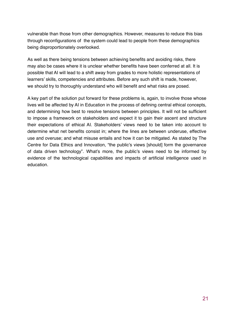vulnerable than those from other demographics. However, measures to reduce this bias through reconfigurations of the system could lead to people from these demographics being disproportionately overlooked.

As well as there being tensions between achieving benefits and avoiding risks, there may also be cases where it is unclear whether benefits have been conferred at all. It is possible that AI will lead to a shift away from grades to more holistic representations of learners' skills, competencies and attributes. Before any such shift is made, however, we should try to thoroughly understand who will benefit and what risks are posed.

A key part of the solution put forward for these problems is, again, to involve those whose lives will be affected by AI in Education in the process of defining central ethical concepts, and determining how best to resolve tensions between principles. It will not be sufficient to impose a framework on stakeholders and expect it to gain their ascent and structure their expectations of ethical AI. Stakeholders' views need to be taken into account to determine what net benefits consist in; where the lines are between underuse, effective use and overuse; and what misuse entails and how it can be mitigated. As stated by The Centre for Data Ethics and Innovation, "the public's views [should] form the governance of data driven technology". What's more, the public's views need to be informed by evidence of the technological capabilities and impacts of artificial intelligence used in education.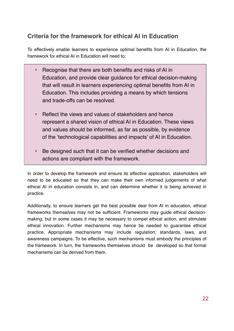## **Criteria for the framework for ethical AI in Education**

To effectively enable learners to experience optimal benefits from AI in Education, the framework for ethical AI in Education will need to:

- Recognise that there are both benefits and risks of AI in Education, and provide clear guidance for ethical decision-making that will result in learners experiencing optimal benefits from AI in Education. This includes providing a means by which tensions and trade-offs can be resolved.
- Reflect the views and values of stakeholders and hence represent a shared vision of ethical AI in Education. These views and values should be informed, as far as possible, by evidence of the 'technological capabilities and impacts' of AI in Education.
- Be designed such that it can be verified whether decisions and actions are compliant with the framework.

In order to develop the framework and ensure its effective application, stakeholders will need to be educated so that they can make their own informed judgements of what ethical AI in education consists in, and can determine whether it is being achieved in practice.

Additionally, to ensure learners get the best possible deal from AI in education, ethical frameworks themselves may not be sufficient. Frameworks may guide ethical decisionmaking, but in some cases it may be necessary to compel ethical action, and stimulate ethical innovation. Further mechanisms may hence be needed to guarantee ethical practice. Appropriate mechanisms may include regulation, standards, laws, and awareness campaigns. To be effective, such mechanisms must embody the principles of the framework. In turn, the frameworks themselves should be developed so that formal mechanisms can be derived from them.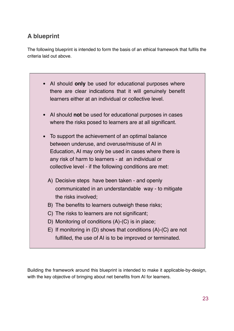## **A blueprint**

The following blueprint is intended to form the basis of an ethical framework that fulfils the criteria laid out above.

| • Al should only be used for educational purposes where<br>there are clear indications that it will genuinely benefit<br>learners either at an individual or collective level. |
|--------------------------------------------------------------------------------------------------------------------------------------------------------------------------------|
| • Al should not be used for educational purposes in cases                                                                                                                      |
| where the risks posed to learners are at all significant.                                                                                                                      |
| To support the achievement of an optimal balance<br>$\bullet$                                                                                                                  |
| between underuse, and overuse/misuse of AI in                                                                                                                                  |
| Education, AI may only be used in cases where there is                                                                                                                         |
| any risk of harm to learners - at an individual or                                                                                                                             |
| collective level - if the following conditions are met:                                                                                                                        |
| A) Decisive steps have been taken - and openly                                                                                                                                 |
| communicated in an understandable way - to mitigate                                                                                                                            |
| the risks involved;                                                                                                                                                            |
| B) The benefits to learners outweigh these risks;                                                                                                                              |
| C) The risks to learners are not significant;                                                                                                                                  |
| D) Monitoring of conditions (A)-(C) is in place;                                                                                                                               |
| E) If monitoring in (D) shows that conditions $(A)$ - $(C)$ are not                                                                                                            |
| fulfilled, the use of AI is to be improved or terminated.                                                                                                                      |

Building the framework around this blueprint is intended to make it applicable-by-design, with the key objective of bringing about net benefits from AI for learners.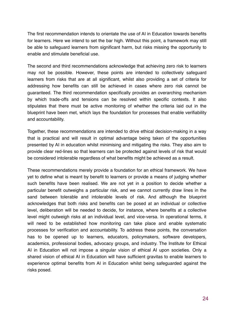The first recommendation intends to orientate the use of AI in Education towards benefits for learners. Here we intend to set the bar high. Without this point, a framework may still be able to safeguard learners from significant harm, but risks missing the opportunity to enable and stimulate beneficial use.

The second and third recommendations acknowledge that achieving zero risk to learners may not be possible. However, these points are intended to collectively safeguard learners from risks that are at all significant, whilst also providing a set of criteria for addressing how benefits can still be achieved in cases where zero risk cannot be guaranteed. The third recommendation specifically provides an overarching mechanism by which trade-offs and tensions can be resolved within specific contexts. It also stipulates that there must be active monitoring of whether the criteria laid out in the blueprint have been met, which lays the foundation for processes that enable verifiability and accountability.

Together, these recommendations are intended to drive ethical decision-making in a way that is practical and will result in optimal advantage being taken of the opportunities presented by AI in education whilst minimising and mitigating the risks. They also aim to provide clear red-lines so that learners can be protected against levels of risk that would be considered intolerable regardless of what benefits might be achieved as a result.

These recommendations merely provide a foundation for an ethical framework. We have yet to define what is meant by benefit to learners or provide a means of judging whether such benefits have been realised. We are not yet in a position to decide whether a particular benefit outweighs a particular risk, and we cannot currently draw lines in the sand between tolerable and intolerable levels of risk. And although the blueprint acknowledges that both risks and benefits can be posed at an individual or collective level, deliberation will be needed to decide, for instance, where benefits at a collective level might outweigh risks at an individual level, and vice-versa. In operational terms, it will need to be established how monitoring can take place and enable systematic processes for verification and accountability. To address these points, the conversation has to be opened up to learners, educators, policymakers, software developers, academics, professional bodies, advocacy groups, and industry. The Institute for Ethical AI in Education will not impose a singular vision of ethical AI upon societies. Only a shared vision of ethical AI in Education will have sufficient gravitas to enable learners to experience optimal benefits from AI in Education whilst being safeguarded against the risks posed.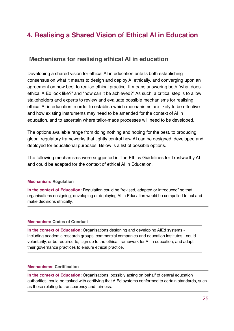## **4. Realising a Shared Vision of Ethical AI in Education**

## **Mechanisms for realising ethical AI in education**

Developing a shared vision for ethical AI in education entails both establishing consensus on what it means to design and deploy AI ethically, and converging upon an agreement on how best to realise ethical practice. It means answering both "what does ethical AIEd look like?" and "how can it be achieved?" As such, a critical step is to allow stakeholders and experts to review and evaluate possible mechanisms for realising ethical AI in education in order to establish which mechanisms are likely to be effective and how existing instruments may need to be amended for the context of AI in education, and to ascertain where tailor-made processes will need to be developed.

The options available range from doing nothing and hoping for the best, to producing global regulatory frameworks that tightly control how AI can be designed, developed and deployed for educational purposes. Below is a list of possible options.

The following mechanisms were suggested in The Ethics Guidelines for Trustworthy AI and could be adapted for the context of ethical AI in Education.

#### **Mechanism: Regulation**

**In the context of Education:** Regulation could be "revised, adapted or introduced" so that organisations designing, developing or deploying AI in Education would be compelled to act and make decisions ethically.

#### **Mechanism: Codes of Conduct**

**In the context of Education:** Organisations designing and developing AIEd systems including academic research groups, commercial companies and education institutes - could voluntarily, or be required to, sign up to the ethical framework for AI in education, and adapt their governance practices to ensure ethical practice.

#### **Mechanisms: Certification**

**In the context of Education:** Organisations, possibly acting on behalf of central education authorities, could be tasked with certifying that AIEd systems conformed to certain standards, such as those relating to transparency and fairness.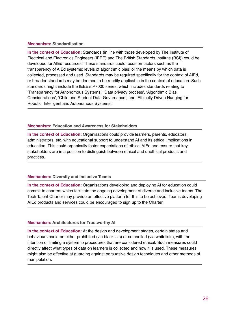#### **Mechanism: Standardisation**

**In the context of Education:** Standards (in line with those developed by The Institute of Electrical and Electronics Engineers (IEEE) and The British Standards Institute (BSI)) could be developed for AIEd resources. These standards could focus on factors such as the transparency of AIEd systems; levels of algorithmic bias; or the means by which data is collected, processed and used. Standards may be required specifically for the context of AIEd, or broader standards may be deemed to be readily applicable in the context of education. Such standards might include the IEEE's P7000 series, which includes standards relating to 'Transparency for Autonomous Systems', 'Data privacy process', 'Algorithmic Bias Considerations', 'Child and Student Data Governance', and 'Ethically Driven Nudging for Robotic, Intelligent and Autonomous Systems'.

#### **Mechanism: Education and Awareness for Stakeholders**

**In the context of Education:** Organisations could provide learners, parents, educators, administrators, etc. with educational support to understand AI and its ethical implications in education. This could organically foster expectations of ethical AIEd and ensure that key stakeholders are in a position to distinguish between ethical and unethical products and practices.

#### **Mechanism: Diversity and Inclusive Teams**

**In the context of Education:** Organisations developing and deploying AI for education could commit to charters which facilitate the ongoing development of diverse and inclusive teams. The Tech Talent Charter may provide an effective platform for this to be achieved. Teams developing AIEd products and services could be encouraged to sign up to the Charter.

#### **Mechanism: Architectures for Trustworthy AI**

**In the context of Education:** At the design and development stages, certain states and behaviours could be either prohibited (via blacklists) or compelled (via whitelists), with the intention of limiting a system to procedures that are considered ethical. Such measures could directly affect what types of data on learners is collected and how it is used. These measures might also be effective at guarding against persuasive design techniques and other methods of manipulation.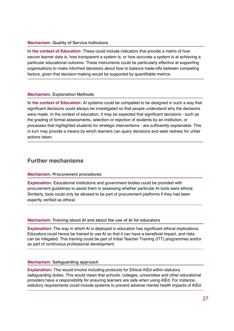#### **Mechanism: Quality of Service Indicators**

**In the context of Education:** These could include indicators that provide a metric of how secure learner data is, how transparent a system is, or how accurate a system is at achieving a particular educational outcome. These instruments could be particularly effective at supporting organisations to make informed decisions about how to balance trade-offs between competing factors, given that decision-making would be supported by quantifiable metrics.

#### **Mechanism: Explanation Methods**

**In the context of Education:** AI systems could be compelled to be designed in such a way that significant decisions could always be investigated so that people understand why the decisions were made. In the context of education, it may be expected that significant decisions - such as the grading of formal assessments, selection or rejection of students by an institution, or processes that highlighted students for strategic interventions - are sufficiently explainable. This in turn may provide a means by which learners can query decisions and seek redress for unfair actions taken.

## **Further mechanisms**

#### **Mechanism: Procurement procedures**

**Explanation:** Educational Institutions and government bodies could be provided with procurement guidelines to assist them in assessing whether particular AI tools were ethical. Similarly, tools could only be allowed to be part of procurement platforms if they had been expertly verified as ethical.

#### **Mechanism: Training about AI and about the use of AI for educators**

**Explanation:** The way in which AI is deployed in education has significant ethical implications. Educators could hence be trained to use AI so that it can have a beneficial impact, and risks can be mitigated. This training could be part of Initial Teacher Training (ITT) programmes and/or as part of continuous professional development.

#### **Mechanism: Safeguarding approach**

**Explanation:** This would involve including protocols for Ethical AIEd within statutory safeguarding duties. This would mean that schools, colleges, universities and other educational providers have a responsibility for ensuring learners are safe when using AIEd. For instance, statutory requirements could include systems to prevent adverse mental health impacts of AIEd.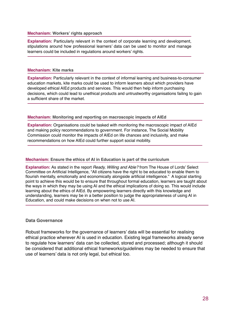#### **Mechanism: Workers' rights approach**

**Explanation:** Particularly relevant in the context of corporate learning and development, stipulations around how professional learners' data can be used to monitor and manage learners could be included in regulations around workers' rights.

#### **Mechanism: Kite marks**

**Explanation:** Particularly relevant in the context of informal learning and business-to-consumer education markets, kite marks could be used to inform learners about which providers have developed ethical AIEd products and services. This would then help inform purchasing decisions, which could lead to unethical products and untrustworthy organisations failing to gain a sufficient share of the market.

#### **Mechanism: Monitoring and reporting on macroscopic impacts of AIEd**

**Explanation:** Organisations could be tasked with monitoring the macroscopic impact of AIEd and making policy recommendations to government. For instance, The Social Mobility Commission could monitor the impacts of AIEd on life chances and inclusivity, and make recommendations on how AIEd could further support social mobility.

#### **Mechanism: Ensure the ethics of AI in Education is part of the curriculum**

**Explanation:** As stated in the report *Ready, Willing and Able?* from The House of Lords' Select Committee on Artificial Intelligence, "All citizens have the right to be educated to enable them to flourish mentally, emotionally and economically alongside artificial intelligence." A logical starting point to achieve this would be to ensure that throughout formal education, learners are taught about the ways in which they may be using AI and the ethical implications of doing so. This would include learning about the ethics of AIEd. By empowering learners directly with this knowledge and understanding, learners may be in a better position to judge the appropriateness of using AI in Education, and could make decisions on when not to use AI.

#### **Data Governance**

Robust frameworks for the governance of learners' data will be essential for realising ethical practice wherever AI is used in education. Existing legal frameworks already serve to regulate how learners' data can be collected, stored and processed; although it should be considered that additional ethical frameworks/guidelines may be needed to ensure that use of learners' data is not only legal, but ethical too.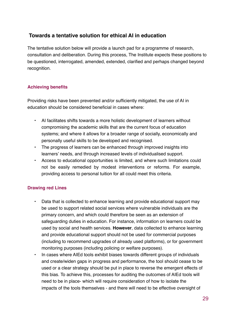## **Towards a tentative solution for ethical AI in education**

The tentative solution below will provide a launch pad for a programme of research, consultation and deliberation. During this process, The Institute expects these positions to be questioned, interrogated, amended, extended, clarified and perhaps changed beyond recognition.

### **Achieving benefits**

Providing risks have been prevented and/or sufficiently mitigated, the use of AI in education should be considered beneficial in cases where:

- AI facilitates shifts towards a more holistic development of learners without compromising the academic skills that are the current focus of education systems; and where it allows for a broader range of socially, economically and personally useful skills to be developed and recognised.
- The progress of learners can be enhanced through improved insights into learners' needs, and through increased levels of individualised support.
- Access to educational opportunities is limited, and where such limitations could not be easily remedied by modest interventions or reforms. For example, providing access to personal tuition for all could meet this criteria.

### **Drawing red Lines**

- Data that is collected to enhance learning and provide educational support may be used to support related social services where vulnerable individuals are the primary concern, and which could therefore be seen as an extension of safeguarding duties in education. For instance, information on learners could be used by social and health services. **However**, data collected to enhance learning and provide educational support should not be used for commercial purposes (including to recommend upgrades of already used platforms), or for government monitoring purposes (including policing or welfare purposes).
- In cases where AIEd tools exhibit biases towards different groups of individuals and create/widen gaps in progress and performance, the tool should cease to be used or a clear strategy should be put in place to reverse the emergent effects of this bias. To achieve this, processes for auditing the outcomes of AIEd tools will need to be in place- which will require consideration of how to isolate the impacts of the tools themselves - and there will need to be effective oversight of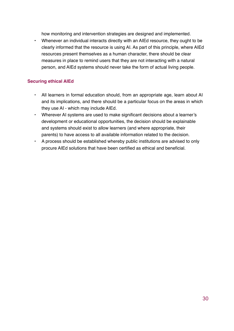how monitoring and intervention strategies are designed and implemented.

• Whenever an individual interacts directly with an AIEd resource, they ought to be clearly informed that the resource is using AI. As part of this principle, where AIEd resources present themselves as a human character, there should be clear measures in place to remind users that they are not interacting with a natural person, and AIEd systems should never take the form of actual living people.

#### **Securing ethical AIEd**

- All learners in formal education should, from an appropriate age, learn about AI and its implications, and there should be a particular focus on the areas in which they use AI - which may include AIEd.
- Wherever AI systems are used to make significant decisions about a learner's development or educational opportunities, the decision should be explainable and systems should exist to allow learners (and where appropriate, their parents) to have access to all available information related to the decision.
- A process should be established whereby public institutions are advised to only procure AIEd solutions that have been certified as ethical and beneficial.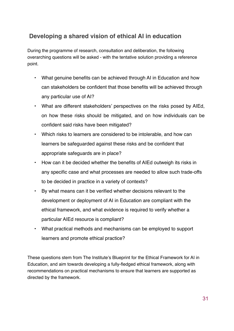## **Developing a shared vision of ethical AI in education**

During the programme of research, consultation and deliberation, the following overarching questions will be asked - with the tentative solution providing a reference point.

- What genuine benefits can be achieved through AI in Education and how can stakeholders be confident that those benefits will be achieved through any particular use of AI?
- What are different stakeholders' perspectives on the risks posed by AIEd, on how these risks should be mitigated, and on how individuals can be confident said risks have been mitigated?
- Which risks to learners are considered to be intolerable, and how can learners be safeguarded against these risks and be confident that appropriate safeguards are in place?
- How can it be decided whether the benefits of AIEd outweigh its risks in any specific case and what processes are needed to allow such trade-offs to be decided in practice in a variety of contexts?
- By what means can it be verified whether decisions relevant to the development or deployment of AI in Education are compliant with the ethical framework, and what evidence is required to verify whether a particular AIEd resource is compliant?
- What practical methods and mechanisms can be employed to support learners and promote ethical practice?

These questions stem from The Institute's Blueprint for the Ethical Framework for AI in Education, and aim towards developing a fully-fledged ethical framework, along with recommendations on practical mechanisms to ensure that learners are supported as directed by the framework.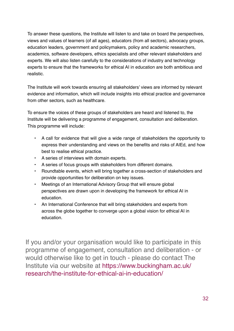To answer these questions, the Institute will listen to and take on board the perspectives, views and values of learners (of all ages), educators (from all sectors), advocacy groups, education leaders, government and policymakers, policy and academic researchers, academics, software developers, ethics specialists and other relevant stakeholders and experts. We will also listen carefully to the considerations of industry and technology experts to ensure that the frameworks for ethical AI in education are both ambitious and realistic.

The Institute will work towards ensuring all stakeholders' views are informed by relevant evidence and information, which will include insights into ethical practice and governance from other sectors, such as healthcare.

To ensure the voices of these groups of stakeholders are heard and listened to, the Institute will be delivering a programme of engagement, consultation and deliberation. This programme will include:

- A call for evidence that will give a wide range of stakeholders the opportunity to express their understanding and views on the benefits and risks of AIEd, and how best to realise ethical practice.
- A series of interviews with domain experts.
- A series of focus groups with stakeholders from different domains.
- Roundtable events, which will bring together a cross-section of stakeholders and provide opportunities for deliberation on key issues.
- Meetings of an International Advisory Group that will ensure global perspectives are drawn upon in developing the framework for ethical AI in education.
- An International Conference that will bring stakeholders and experts from across the globe together to converge upon a global vision for ethical AI in education.

If you and/or your organisation would like to participate in this programme of engagement, consultation and deliberation - or would otherwise like to get in touch - please do contact The Institute via our website at https://www.buckingham.ac.uk/ [research/the-institute-for-ethical-ai-in-education/](https://www.buckingham.ac.uk/research/the-institute-for-ethical-ai-in-education/)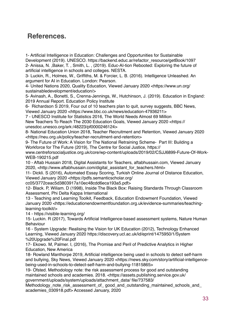## **References.**

1- Artificial Intelligence in Education: Challenges and Opportunities for Sustainable Development (2019). UNESCO. https://backend.educ.ar/refactor\_resource/getBook/1097 2- Anissa, N. ,Baker, T. , Smith, L. , (2019). Educ-AI-tion Rebooted: Exploring the future of artificial intelligence in schools and colleges. NESTA.

3- Luckin, R., Holmes, W., Griffiths, M. & Forcier, L. B. (2016). Intelligence Unleashed. An argument for AI in Education. London: Pearson.

4- United Nations 2020, Quality Education, Viewed January 2020 <https://www.un.org/ sustainabledevelopment/education/>

5- Avinash, A., Bonetti, S., Crenna-Jennings, W., Hutchinson, J. (2019). Education in England: 2019 Annual Report. Education Policy Institute

6- Richardson S 2019, Four out of 10 teachers plan to quit, survey suggests, BBC News, Viewed January 2020 <https://www.bbc.co.uk/news/education-47936211>

7 - UNESCO Institute for Statistics 2016, The World Needs Almost 69 Million New Teachers To Reach The 2030 Education Goals, Viewed January 2020 <https:// unesdoc.unesco.org/ark:/48223/pf0000246124>

8- National Education Union 2018, Teacher Recruitment and Retention, Viewed January 2020 <https://neu.org.uk/policy/teacher-recruitment-and-retention>

9- The Future of Work: A Vision for The National Retraining Scheme- Part III: Building a Workforce for The Future (2019), The Centre for Social Justice, https://

www.centreforsocialjustice.org.uk/core/wp-content/uploads/2019/02/CSJJ6899-Future-Of-Work-WEB-190215.pdf

10 - Aftab Hussain 2018, Digital Assistants for Teachers, aftabhussain.com, Viewed January 2020, <http://www.aftabhussain.com/digital\_assistant\_for\_teachers.html>

11- Dickli. S (2016), Automated Essay Scoring, Turkish Online Journal of Distance Education, Viewed January 2020 <https://pdfs.semanticscholar.org/

cc05/3772ceac5d3803917a10ec48cdd6eca193a5.pdf>

12- Black. P, Wiliam. D (1998), Inside The Black Box: Raising Standards Through Classroom Assessment, Phi Delta Kappa International

13 - Teaching and Learning Toolkit, Feedback, Education Endowment Foundation, Viewed January 2020 <https://educationendowmentfoundation.org.uk/evidence-summaries/teachinglearning-toolkit/>

14 - https://visible-learning.org/

15- Luckin. R (2017), Towards Artificial Intelligence-based assessment systems, Nature Human Behaviour

16 - System Upgrade: Realising the Vision for UK Education (2012), Technology Enhanced Learning, Viewed January 2020 https://discovery.ucl.ac.uk/id/eprint/1475950/1/System %20Upgrade%20Final.pdf

17- Ekowo. M, Palmer. I, (2016), The Promise and Peril of Predictive Analytics in Higher Education, New America

18- Rowland Manthorpe 2019, Artificial intelligence being used in schools to detect self-harm and bullying, Sky News, Viewed January 2020 <https://news.sky.com/story/artificial-intelligencebeing-used-in-schools-to-detect-self-harm-and-bullying-11815865>

19- Ofsted. Methodology note: the risk assessment process for good and outstanding maintained schools and academies. 2018. <https://assets.publishing.service.gov.uk/ government/uploads/system/uploads/attachment\_data/ file/737583/

Methodology\_note\_risk\_assessment\_of\_ good\_and\_outstanding\_maintained\_schools\_and\_ academies\_030918.pdf> Accessed January, 2020